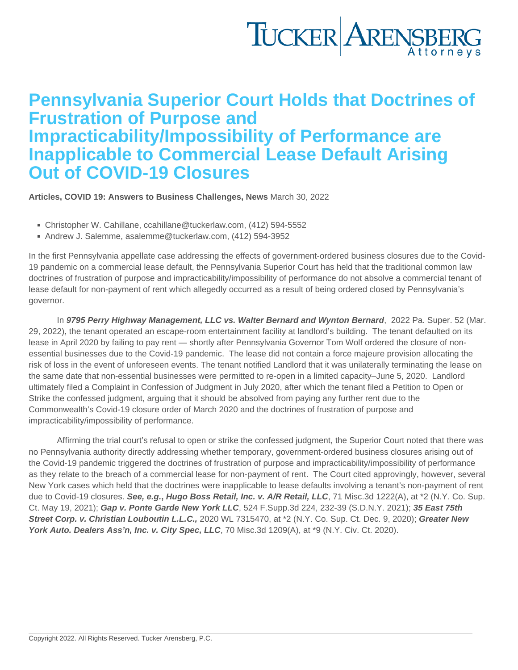## Pennsylvania Superior Court Holds that Doctrines of Frustration of Purpose and Impracticability/Impossibility of Performance are Inapplicable to Commercial Lease Default Arising Out of COVID-19 Closures

[Articles](https://www.tuckerlaw.com/category/articles/) , [COVID 19: Answers to Business Challenges](https://www.tuckerlaw.com/category/covid-19-answers-to-business-challenges/) , [News](https://www.tuckerlaw.com/category/news/) March 30, 2022

- Christopher W. Cahillane, [ccahillane@tuckerlaw.com](mailto:ccahillane@tuckerlaw.com), (412) 594-5552
- Andrew J. Salemme, [asalemme@tuckerlaw.com](mailto:asalemme@tuckerlaw.com), (412) 594-3952

In the first Pennsylvania appellate case addressing the effects of government-ordered business closures due to the Covid-19 pandemic on a commercial lease default, the Pennsylvania Superior Court has held that the traditional common law doctrines of frustration of purpose and impracticability/impossibility of performance do not absolve a commercial tenant of lease default for non-payment of rent which allegedly occurred as a result of being ordered closed by Pennsylvania's governor.

In 9795 Perry Highway Management, LLC vs. Walter Bernard and Wynton Bernard , 2022 Pa. Super. 52 (Mar. 29, 2022), the tenant operated an escape-room entertainment facility at landlord's building. The tenant defaulted on its lease in April 2020 by failing to pay rent — shortly after Pennsylvania Governor Tom Wolf ordered the closure of nonessential businesses due to the Covid-19 pandemic. The lease did not contain a force majeure provision allocating the risk of loss in the event of unforeseen events. The tenant notified Landlord that it was unilaterally terminating the lease on the same date that non-essential businesses were permitted to re-open in a limited capacity–June 5, 2020. Landlord ultimately filed a Complaint in Confession of Judgment in July 2020, after which the tenant filed a Petition to Open or Strike the confessed judgment, arguing that it should be absolved from paying any further rent due to the Commonwealth's Covid-19 closure order of March 2020 and the doctrines of frustration of purpose and impracticability/impossibility of performance.

 Affirming the trial court's refusal to open or strike the confessed judgment, the Superior Court noted that there was no Pennsylvania authority directly addressing whether temporary, government-ordered business closures arising out of the Covid-19 pandemic triggered the doctrines of frustration of purpose and impracticability/impossibility of performance as they relate to the breach of a commercial lease for non-payment of rent. The Court cited approvingly, however, several New York cases which held that the doctrines were inapplicable to lease defaults involving a tenant's non-payment of rent due to Covid-19 closures. See, e.g., Hugo Boss Retail, Inc. v. A/R Retail, LLC , 71 Misc.3d 1222(A), at \*2 (N.Y. Co. Sup. Ct. May 19, 2021); Gap v. Ponte Garde New York LLC , 524 F.Supp.3d 224, 232-39 (S.D.N.Y. 2021); 35 East 75th Street Corp. v. Christian Louboutin L.L.C., 2020 WL 7315470, at \*2 (N.Y. Co. Sup. Ct. Dec. 9, 2020); Greater New York Auto. Dealers Ass'n, Inc. v. City Spec, LLC , 70 Misc.3d 1209(A), at \*9 (N.Y. Civ. Ct. 2020).